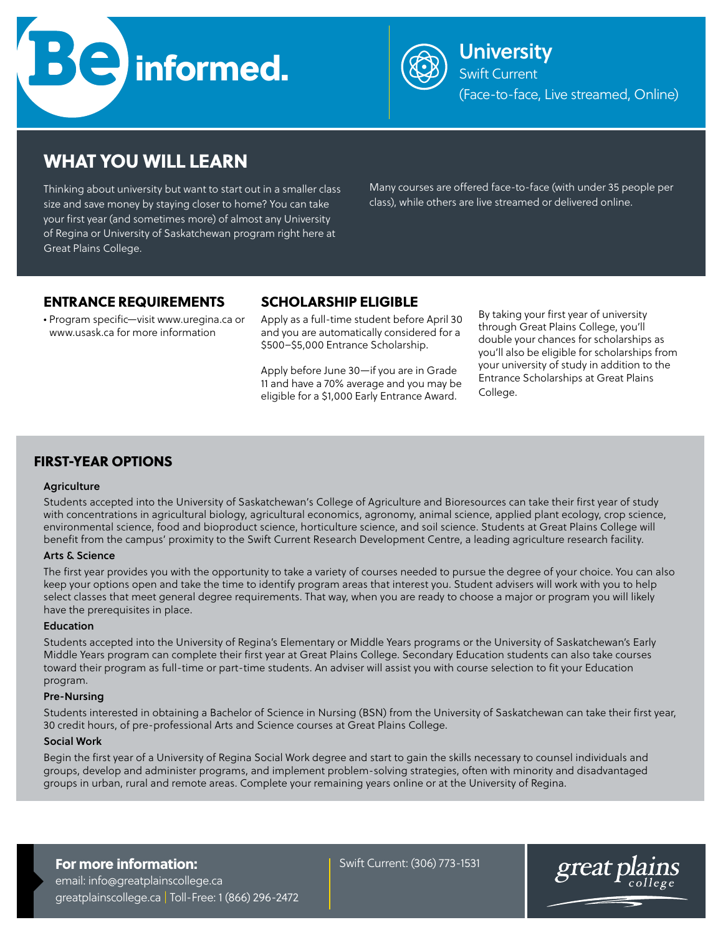



Swift Current (Face-to-face, Live streamed, Online)

# WHAT YOU WILL LEARN

Thinking about university but want to start out in a smaller class size and save money by staying closer to home? You can take your first year (and sometimes more) of almost any University of Regina or University of Saskatchewan program right here at Great Plains College.

Many courses are offered face-to-face (with under 35 people per class), while others are live streamed or delivered online.

## ENTRANCE REQUIREMENTS

• Program specific—visit www.uregina.ca or www.usask.ca for more information

## SCHOLARSHIP ELIGIBLE

Apply as a full-time student before April 30 and you are automatically considered for a \$500–\$5,000 Entrance Scholarship.

Apply before June 30—if you are in Grade 11 and have a 70% average and you may be eligible for a \$1,000 Early Entrance Award.

By taking your first year of university through Great Plains College, you'll double your chances for scholarships as you'll also be eligible for scholarships from your university of study in addition to the Entrance Scholarships at Great Plains College.

## FIRST-YEAR OPTIONS

#### **Agriculture**

Students accepted into the University of Saskatchewan's College of Agriculture and Bioresources can take their first year of study with concentrations in agricultural biology, agricultural economics, agronomy, animal science, applied plant ecology, crop science, environmental science, food and bioproduct science, horticulture science, and soil science. Students at Great Plains College will benefit from the campus' proximity to the Swift Current Research Development Centre, a leading agriculture research facility.

### Arts & Science

The first year provides you with the opportunity to take a variety of courses needed to pursue the degree of your choice. You can also keep your options open and take the time to identify program areas that interest you. Student advisers will work with you to help select classes that meet general degree requirements. That way, when you are ready to choose a major or program you will likely have the prerequisites in place.

#### **Education**

Students accepted into the University of Regina's Elementary or Middle Years programs or the University of Saskatchewan's Early Middle Years program can complete their first year at Great Plains College. Secondary Education students can also take courses toward their program as full-time or part-time students. An adviser will assist you with course selection to fit your Education program.

#### Pre-Nursing

Students interested in obtaining a Bachelor of Science in Nursing (BSN) from the University of Saskatchewan can take their first year, 30 credit hours, of pre-professional Arts and Science courses at Great Plains College.

#### Social Work

Begin the first year of a University of Regina Social Work degree and start to gain the skills necessary to counsel individuals and groups, develop and administer programs, and implement problem-solving strategies, often with minority and disadvantaged groups in urban, rural and remote areas. Complete your remaining years online or at the University of Regina.

## For more information:

email: info@greatplainscollege.ca greatplainscollege.ca | Toll-Free: 1 (866) 296-2472 Swift Current: (306) 773-1531